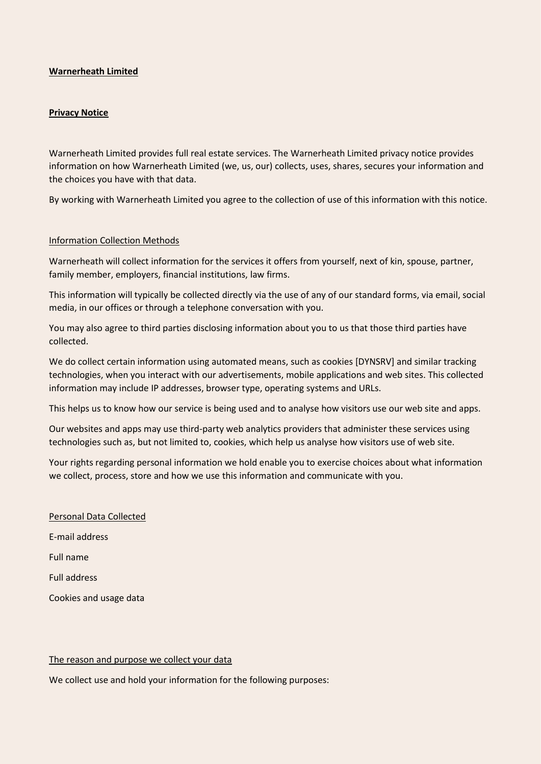### **Warnerheath Limited**

#### **Privacy Notice**

Warnerheath Limited provides full real estate services. The Warnerheath Limited privacy notice provides information on how Warnerheath Limited (we, us, our) collects, uses, shares, secures your information and the choices you have with that data.

By working with Warnerheath Limited you agree to the collection of use of this information with this notice.

#### Information Collection Methods

Warnerheath will collect information for the services it offers from yourself, next of kin, spouse, partner, family member, employers, financial institutions, law firms.

This information will typically be collected directly via the use of any of our standard forms, via email, social media, in our offices or through a telephone conversation with you.

You may also agree to third parties disclosing information about you to us that those third parties have collected.

We do collect certain information using automated means, such as cookies [DYNSRV] and similar tracking technologies, when you interact with our advertisements, mobile applications and web sites. This collected information may include IP addresses, browser type, operating systems and URLs.

This helps us to know how our service is being used and to analyse how visitors use our web site and apps.

Our websites and apps may use third-party web analytics providers that administer these services using technologies such as, but not limited to, cookies, which help us analyse how visitors use of web site.

Your rights regarding personal information we hold enable you to exercise choices about what information we collect, process, store and how we use this information and communicate with you.

Personal Data Collected E-mail address Full name Full address Cookies and usage data

#### The reason and purpose we collect your data

We collect use and hold your information for the following purposes: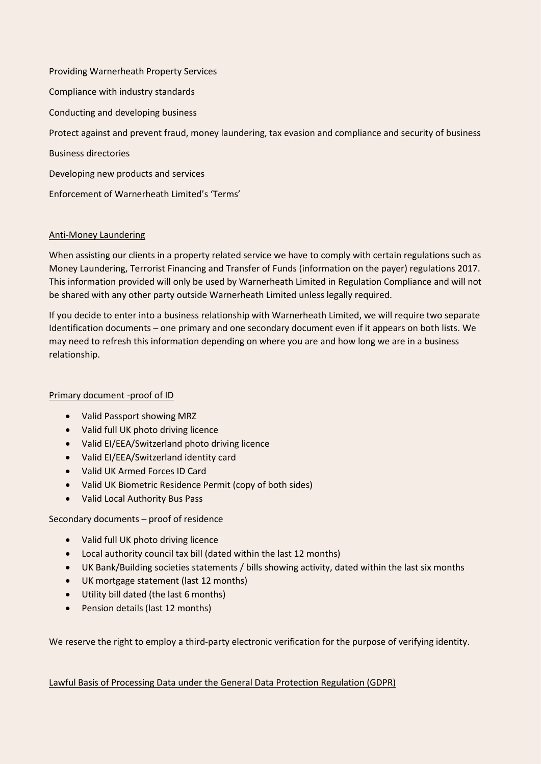Providing Warnerheath Property Services Compliance with industry standards Conducting and developing business Protect against and prevent fraud, money laundering, tax evasion and compliance and security of business Business directories Developing new products and services Enforcement of Warnerheath Limited's 'Terms'

# Anti-Money Laundering

When assisting our clients in a property related service we have to comply with certain regulations such as Money Laundering, Terrorist Financing and Transfer of Funds (information on the payer) regulations 2017. This information provided will only be used by Warnerheath Limited in Regulation Compliance and will not be shared with any other party outside Warnerheath Limited unless legally required.

If you decide to enter into a business relationship with Warnerheath Limited, we will require two separate Identification documents – one primary and one secondary document even if it appears on both lists. We may need to refresh this information depending on where you are and how long we are in a business relationship.

# Primary document -proof of ID

- Valid Passport showing MRZ
- Valid full UK photo driving licence
- Valid EI/EEA/Switzerland photo driving licence
- Valid EI/EEA/Switzerland identity card
- Valid UK Armed Forces ID Card
- Valid UK Biometric Residence Permit (copy of both sides)
- Valid Local Authority Bus Pass

Secondary documents – proof of residence

- Valid full UK photo driving licence
- Local authority council tax bill (dated within the last 12 months)
- UK Bank/Building societies statements / bills showing activity, dated within the last six months
- UK mortgage statement (last 12 months)
- Utility bill dated (the last 6 months)
- Pension details (last 12 months)

We reserve the right to employ a third-party electronic verification for the purpose of verifying identity.

Lawful Basis of Processing Data under the General Data Protection Regulation (GDPR)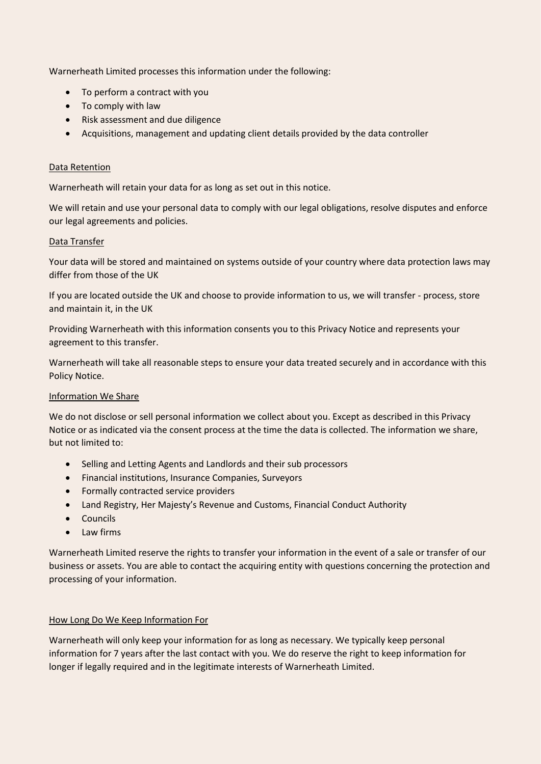Warnerheath Limited processes this information under the following:

- To perform a contract with you
- To comply with law
- Risk assessment and due diligence
- Acquisitions, management and updating client details provided by the data controller

## Data Retention

Warnerheath will retain your data for as long as set out in this notice.

We will retain and use your personal data to comply with our legal obligations, resolve disputes and enforce our legal agreements and policies.

### Data Transfer

Your data will be stored and maintained on systems outside of your country where data protection laws may differ from those of the UK

If you are located outside the UK and choose to provide information to us, we will transfer - process, store and maintain it, in the UK

Providing Warnerheath with this information consents you to this Privacy Notice and represents your agreement to this transfer.

Warnerheath will take all reasonable steps to ensure your data treated securely and in accordance with this Policy Notice.

## Information We Share

We do not disclose or sell personal information we collect about you. Except as described in this Privacy Notice or as indicated via the consent process at the time the data is collected. The information we share, but not limited to:

- Selling and Letting Agents and Landlords and their sub processors
- Financial institutions, Insurance Companies, Surveyors
- Formally contracted service providers
- Land Registry, Her Majesty's Revenue and Customs, Financial Conduct Authority
- Councils
- Law firms

Warnerheath Limited reserve the rights to transfer your information in the event of a sale or transfer of our business or assets. You are able to contact the acquiring entity with questions concerning the protection and processing of your information.

## How Long Do We Keep Information For

Warnerheath will only keep your information for as long as necessary. We typically keep personal information for 7 years after the last contact with you. We do reserve the right to keep information for longer if legally required and in the legitimate interests of Warnerheath Limited.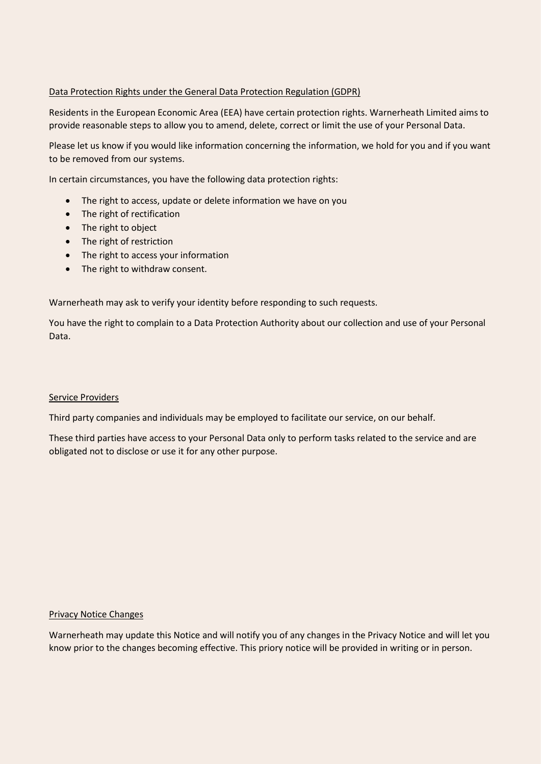## Data Protection Rights under the General Data Protection Regulation (GDPR)

Residents in the European Economic Area (EEA) have certain protection rights. Warnerheath Limited aims to provide reasonable steps to allow you to amend, delete, correct or limit the use of your Personal Data.

Please let us know if you would like information concerning the information, we hold for you and if you want to be removed from our systems.

In certain circumstances, you have the following data protection rights:

- The right to access, update or delete information we have on you
- The right of rectification
- The right to object
- The right of restriction
- The right to access your information
- The right to withdraw consent.

Warnerheath may ask to verify your identity before responding to such requests.

You have the right to complain to a Data Protection Authority about our collection and use of your Personal Data.

### Service Providers

Third party companies and individuals may be employed to facilitate our service, on our behalf.

These third parties have access to your Personal Data only to perform tasks related to the service and are obligated not to disclose or use it for any other purpose.

#### Privacy Notice Changes

Warnerheath may update this Notice and will notify you of any changes in the Privacy Notice and will let you know prior to the changes becoming effective. This priory notice will be provided in writing or in person.